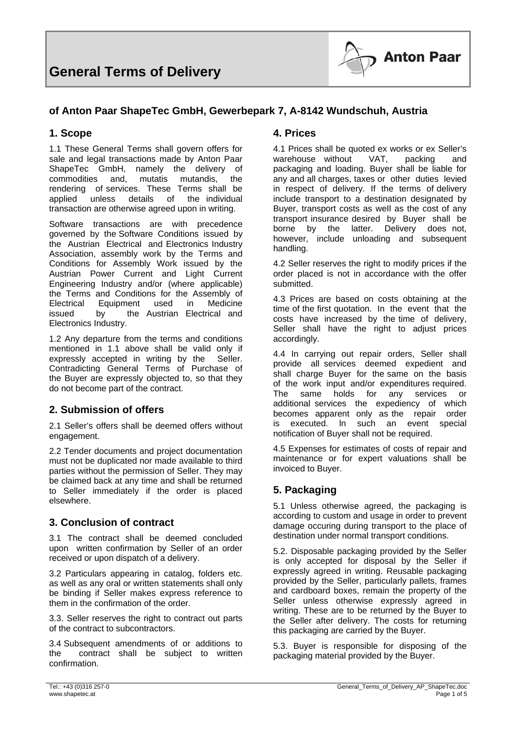

#### **of Anton Paar ShapeTec GmbH, Gewerbepark 7, A-8142 Wundschuh, Austria**

#### **1. Scope**

1.1 These General Terms shall govern offers for sale and legal transactions made by Anton Paar ShapeTec GmbH, namely the delivery of commodities and, mutatis mutandis, the rendering of services. These Terms shall be applied unless details of the individual transaction are otherwise agreed upon in writing.

Software transactions are with precedence governed by the Software Conditions issued by the Austrian Electrical and Electronics Industry Association, assembly work by the Terms and Conditions for Assembly Work issued by the Austrian Power Current and Light Current Engineering Industry and/or (where applicable) the Terms and Conditions for the Assembly of Electrical Equipment used in Medicine issued by the Austrian Electrical and Electronics Industry.

1.2 Any departure from the terms and conditions mentioned in 1.1 above shall be valid only if expressly accepted in writing by the Seller. Contradicting General Terms of Purchase of the Buyer are expressly objected to, so that they do not become part of the contract.

#### **2. Submission of offers**

2.1 Seller's offers shall be deemed offers without engagement.

2.2 Tender documents and project documentation must not be duplicated nor made available to third parties without the permission of Seller. They may be claimed back at any time and shall be returned to Seller immediately if the order is placed elsewhere.

#### **3. Conclusion of contract**

3.1 The contract shall be deemed concluded upon written confirmation by SeIler of an order received or upon dispatch of a delivery.

3.2 Particulars appearing in catalog, folders etc. as well as any oral or written statements shall only be binding if Seller makes express reference to them in the confirmation of the order.

3.3. Seller reserves the right to contract out parts of the contract to subcontractors.

3.4 Subsequent amendments of or additions to the contract shalI be subject to written confirmation.

#### **4. Prices**

4.1 Prices shall be quoted ex works or ex Seller's warehouse without VAT, packing and packaging and loading. Buyer shall be liable for any and all charges, taxes or other duties levied in respect of delivery. If the terms of delivery include transport to a destination designated by Buyer, transport costs as weIl as the cost of any transport insurance desired by Buyer shall be borne by the latter. Delivery does not, however, include unloading and subsequent handling.

4.2 Seller reserves the right to modify prices if the order placed is not in accordance with the offer submitted.

4.3 Prices are based on costs obtaining at the time of the first quotation. In the event that the costs have increased by the time of delivery, Seller shall have the right to adjust prices accordingly.

4.4 In carrying out repair orders, Seller shall provide all services deemed expedient and shall charge Buyer for the same on the basis of the work input and/or expenditures required. The same holds for any services or additional services the expediency of which becomes apparent only as the repair order is executed. ln such an event special notification of Buyer shall not be required.

4.5 Expenses for estimates of costs of repair and maintenance or for expert valuations shall be invoiced to Buyer.

## **5. Packaging**

5.1 Unless otherwise agreed, the packaging is according to custom and usage in order to prevent damage occuring during transport to the place of destination under normal transport conditions.

5.2. Disposable packaging provided by the Seller is only accepted for disposal by the Seller if expressly agreed in writing. Reusable packaging provided by the Seller, particularly pallets, frames and cardboard boxes, remain the property of the Seller unless otherwise expressly agreed in writing. These are to be returned by the Buyer to the Seller after delivery. The costs for returning this packaging are carried by the Buyer.

5.3. Buyer is responsible for disposing of the packaging material provided by the Buyer.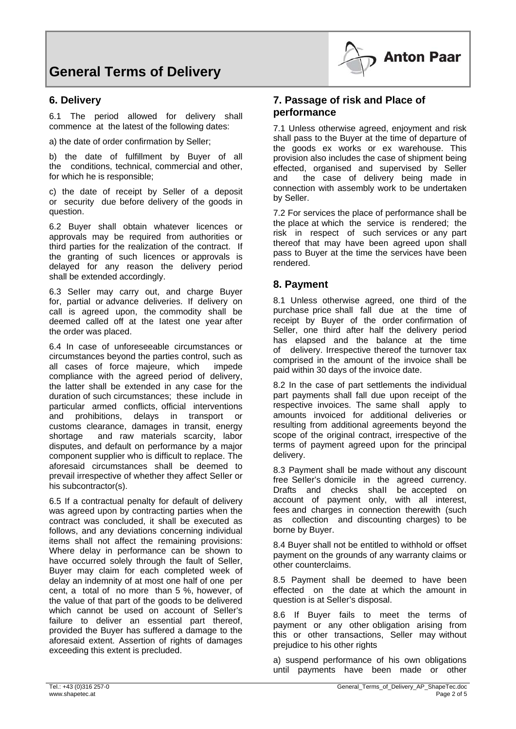#### **6. Delivery**

6.1 The period allowed for delivery shall commence at the latest of the following dates:

a) the date of order confirmation by Seller;

b) the date of fulfillment by Buyer of all the conditions, technical, commercial and other, for which he is responsible;

c) the date of receipt by Seller of a deposit or security due before delivery of the goods in question.

6.2 Buyer shall obtain whatever licences or approvals may be required from authorities or third parties for the realization of the contract. If the granting of such licences or approvals is delayed for any reason the delivery period shall be extended accordingly.

6.3 SeIler may carry out, and charge Buyer for, partial or advance deliveries. If delivery on call is agreed upon, the commodity shall be deemed called off at the Iatest one year after the order was placed.

6.4 In case of unforeseeable circumstances or circumstances beyond the parties control, such as all cases of force majeure, which impede compliance with the agreed period of delivery, the latter shall be extended in any case for the duration of such circumstances; these include in particular armed conflicts, official interventions and prohibitions, delays in transport or customs clearance, damages in transit, energy shortage and raw materials scarcity, labor disputes, and default on performance by a major component supplier who is difficult to replace. The aforesaid circumstances shall be deemed to prevail irrespective of whether they affect SeIler or his subcontractor(s).

6.5 If a contractual penalty for default of delivery was agreed upon by contracting parties when the contract was concluded, it shall be executed as follows, and any deviations concerning individual items shall not affect the remaining provisions: Where delay in performance can be shown to have occurred solely through the fault of Seller, Buyer may claim for each completed week of delay an indemnity of at most one half of one per cent, a total of no more than 5 %, however, of the value of that part of the goods to be delivered which cannot be used on account of Seller's failure to deliver an essential part thereof, provided the Buyer has suffered a damage to the aforesaid extent. Assertion of rights of damages exceeding this extent is precluded.

## **7. Passage of risk and Place of performance**

7.1 Unless otherwise agreed, enjoyment and risk shall pass to the Buyer at the time of departure of the goods ex works or ex warehouse. This provision also includes the case of shipment being effected, organised and supervised by Seller and the case of delivery being made in connection with assembly work to be undertaken by Seller.

**Anton Paar** 

7.2 For services the place of performance shall be the place at which the service is rendered; the risk in respect of such services or any part thereof that may have been agreed upon shall pass to Buyer at the time the services have been rendered.

## **8. Payment**

8.1 Unless otherwise agreed, one third of the purchase price shall fall due at the time of receipt by Buyer of the order confirmation of Seller, one third after half the delivery period has elapsed and the balance at the time of delivery. Irrespective thereof the turnover tax comprised in the amount of the invoice shall be paid within 30 days of the invoice date.

8.2 In the case of part settlements the individual part payments shall fall due upon receipt of the respective invoices. The same shall apply to amounts invoiced for additional deliveries or resulting from additional agreements beyond the scope of the original contract, irrespective of the terms of payment agreed upon for the principal delivery.

8.3 Payment shall be made without any discount free SeIler's domicile in the agreed currency. Drafts and checks shaII be accepted on account of payment only, with all interest, fees and charges in connection therewith (such as collection and discounting charges) to be borne by Buyer.

8.4 Buyer shall not be entitled to withhold or offset payment on the grounds of any warranty claims or other counterclaims.

8.5 Payment shall be deemed to have been effected on the date at which the amount in question is at SelIer's disposal.

8.6 If Buyer fails to meet the terms of payment or any other obligation arising from this or other transactions, Seller may without prejudice to his other rights

a) suspend performance of his own obligations until payments have been made or other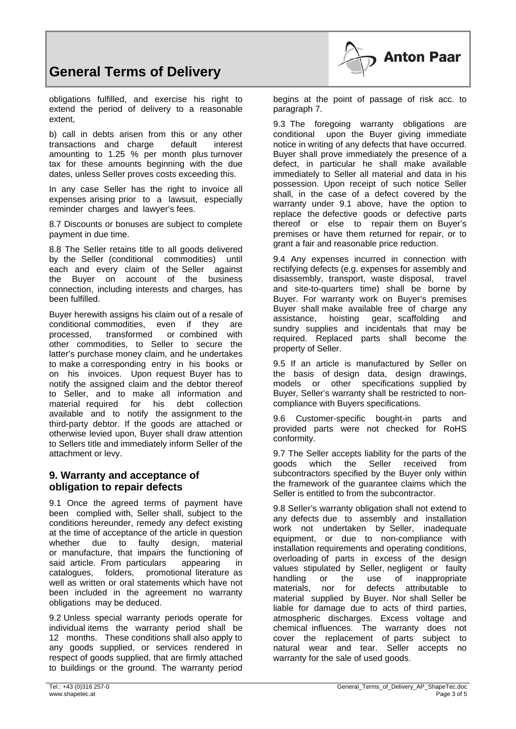

obligations fulfilled, and exercise his right to extend the period of delivery to a reasonable extent,

b) call in debts arisen from this or any other transactions and charge default interest amounting to 1.25 % per month plus turnover tax for these amounts beginning with the due dates, unless SeIler proves costs exceeding this.

In any case Seller has the right to invoice all expenses arising prior to a lawsuit, especially reminder charges and lawyer's fees.

8.7 Discounts or bonuses are subject to complete payment in due time.

8.8 The SeIler retains title to all goods delivered by the Seller (conditional commodities) until each and every claim of the Seller against the Buyer on account of the business connection, including interests and charges, has been fulfilled.

Buyer herewith assigns his claim out of a resale of conditional commodities, even if they are processed, transformed or combined with other commodities, to Seller to secure the latter's purchase money claim, and he undertakes to make a corresponding entry in his books or on his invoices. Upon request Buyer has to notify the assigned claim and the debtor thereof to Seller, and to make all information and material required for his debt collection available and to notify the assignment to the third-party debtor. If the goods are attached or otherwise levied upon, Buyer shalI draw attention to Sellers title and immediately inform Seller of the attachment or levy.

## **9. Warranty and acceptance of obligation to repair defects**

9.1 Once the agreed terms of payment have been complied with, Seller shall, subject to the conditions hereunder, remedy any defect existing at the time of acceptance of the article in question whether due to faulty design, material or manufacture, that impairs the functioning of said article. From particulars appearing in catalogues, folders, promotional literature as well as written or oral statements which have not been included in the agreement no warranty obligations may be deduced.

9.2 Unless special warranty periods operate for individual items the warranty period shall be 12 months. These conditions shall also apply to any goods supplied, or services rendered in respect of goods supplied, that are firmly attached to buildings or the ground. The warranty period **Anton Paar** 

9.3 The foregoing warranty obligations are conditional upon the Buyer giving immediate notice in writing of any defects that have occurred. Buyer shall prove immediately the presence of a defect, in particular he shall make available immediately to Seller all material and data in his possession. Upon receipt of such notice Seller shall, in the case of a defect covered by the warranty under 9.1 above, have the option to replace the defective goods or defective parts thereof or else to repair them on Buyer's premises or have them returned for repair, or to grant a fair and reasonable price reduction.

9.4 Any expenses incurred in connection with rectifying defects (e.g. expenses for assembly and disassembly, transport, waste disposal, travel and site-to-quarters time) shall be borne by Buyer. For warranty work on Buyer's premises Buyer shall make available free of charge any assistance, hoisting gear, scaffolding and sundry supplies and incidentals that may be required. Replaced parts shall become the property of Seller.

9.5 If an article is manufactured by Seller on the basis of design data, design drawings, models or other specifications supplied by Buyer, Seller's warranty shall be restricted to noncompliance with Buyers specifications.

9.6 Customer-specific bought-in parts and provided parts were not checked for RoHS conformity.

9.7 The Seller accepts liability for the parts of the goods which the Seller received from subcontractors specified by the Buyer only within the framework of the guarantee claims which the Seller is entitled to from the subcontractor.

9.8 SeIler's warranty obligation shall not extend to any defects due to assembly and installation work not undertaken by Seller, inadequate equipment, or due to non-compliance with installation requirements and operating conditions, overloading of parts in excess of the design values stipulated by Seller, negligent or faulty handling or the use of inappropriate materials, nor for defects attributable to material supplied by Buyer. Nor shall Seller be liable for damage due to acts of third parties, atmospheric discharges. Excess voltage and chemical influences. The warranty does not cover the replacement of parts subject to natural wear and tear. Seller accepts no warranty for the sale of used goods.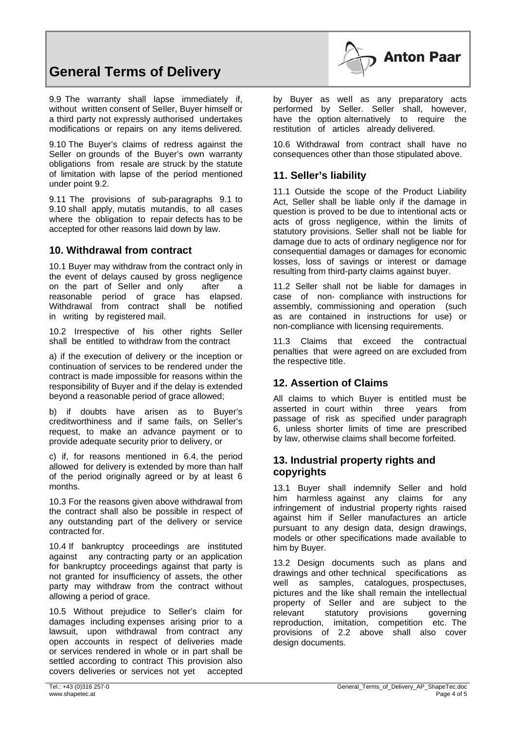

9.9 The warranty shall lapse immediately if, without written consent of SeIler, Buyer himself or a third party not expressly authorised undertakes modifications or repairs on any items delivered.

9.10 The Buyer's claims of redress against the Seller on grounds of the Buyer's own warranty obligations from resale are struck by the statute of limitation with lapse of the period mentioned under point 9.2.

9.11 The provisions of sub-paragraphs 9.1 to 9.10 shall apply, mutatis mutandis, to all cases where the obligation to repair defects has to be accepted for other reasons laid down by law.

#### **10. Withdrawal from contract**

10.1 Buyer may withdraw from the contract only in the event of delays caused by gross negligence on the part of SeIler and only after a reasonable period of grace has elapsed. Withdrawal from contract shall be notified in writing by registered mail.

10.2 Irrespective of his other rights SeIler shall be entitled to withdraw from the contract

a) if the execution of delivery or the inception or continuation of services to be rendered under the contract is made impossible for reasons within the responsibility of Buyer and if the delay is extended beyond a reasonable period of grace allowed:

b) if doubts have arisen as to Buyer's creditworthiness and if same fails, on SeIler's request, to make an advance payment or to provide adequate security prior to delivery, or

c) if, for reasons mentioned in 6.4, the period allowed for delivery is extended by more than half of the period originally agreed or by at least 6 months.

10.3 For the reasons given above withdrawal from the contract shall also be possible in respect of any outstanding part of the delivery or service contracted for.

10.4 If bankruptcy proceedings are instituted against any contracting party or an application for bankruptcy proceedings against that party is not granted for insufficiency of assets, the other party may withdraw from the contract without allowing a period of grace.

10.5 Without prejudice to Seller's claim for damages including expenses arising prior to a lawsuit, upon withdrawal from contract any open accounts in respect of deliveries made or services rendered in whole or in part shall be settled according to contract This provision also covers deliveries or services not yet accepted



**Anton Paar** 

10.6 Withdrawal from contract shall have no consequences other than those stipulated above.

## **11. Seller's liability**

11.1 Outside the scope of the Product Liability Act. Seller shall be liable only if the damage in question is proved to be due to intentional acts or acts of gross negligence, within the limits of statutory provisions. Seller shall not be liable for damage due to acts of ordinary negligence nor for consequential damages or damages for economic losses, loss of savings or interest or damage resulting from third-party claims against buyer.

11.2 Seller shall not be liable for damages in case of non- compliance with instructions for assembly, commissioning and operation (such as are contained in instructions for use) or non-compliance with licensing requirements.

11.3 Claims that exceed the contractual penalties that were agreed on are excluded from the respective title.

## **12. Assertion of Claims**

All claims to which Buyer is entitled must be asserted in court within three years from passage of risk as specified under paragraph 6, unless shorter limits of time are prescribed by law, otherwise claims shall become forfeited.

#### **13. Industrial property rights and copyrights**

13.1 Buyer shall indemnify Seller and hold him harmless against any claims for any infringement of industrial property rights raised against him if SeIler manufactures an article pursuant to any design data, design drawings, models or other specifications made available to him by Buyer.

13.2 Design documents such as plans and drawings and other technical specifications as well as samples, catalogues, prospectuses, pictures and the like shall remain the intellectual property of SeIler and are subject to the relevant statutory provisions governing reproduction, imitation, competition etc. The provisions of 2.2 above shall also cover design documents.